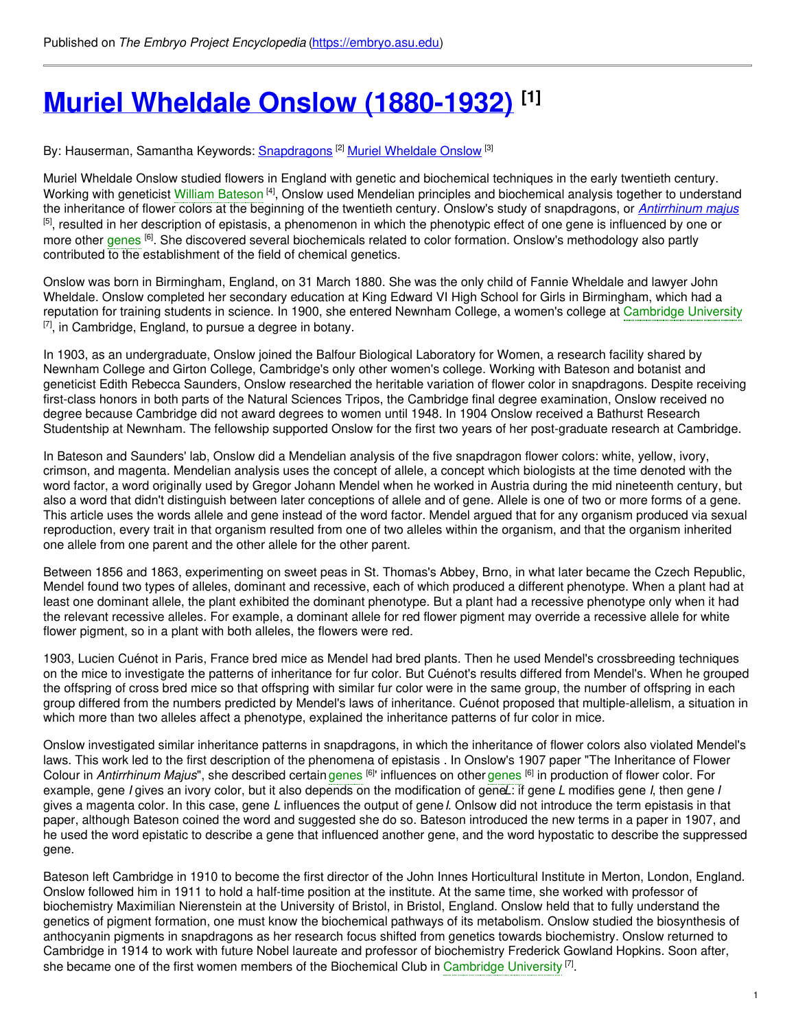# **Muriel Wheldale Onslow [\(1880-1932\)](https://embryo.asu.edu/pages/muriel-wheldale-onslow-1880-1932) [1]**

By: Hauserman, Samantha Keywords: <u>[Snapdragons](https://embryo.asu.edu/keywords/snapdragons)</u> <sup>[2]</sup> Muriel [Wheldale](https://embryo.asu.edu/keywords/muriel-wheldale-onslow) Onslow <sup>[3]</sup>

Muriel Wheldale Onslow studied flowers in England with genetic and biochemical techniques in the early twentieth century. Working with geneticist William [Bateson](https://embryo.asu.edu/search?text=William%20Bateson) [4], Onslow used Mendelian principles and biochemical analysis together to understand the inheritance of flower colors at the beginning of the twentieth century. Onslow's study of snapdragons, or *[Antirrhinum](http://eol.org/pages/578449/overview) majus* <sup>[5]</sup>, resulted in her description of epistasis, a phenomenon in which the phenotypic effect of one gene is influenced by one or more other [genes](https://embryo.asu.edu/search?text=genes) <sup>[6]</sup>. She discovered several biochemicals related to color formation. Onslow's methodology also partly contributed to the establishment of the field of chemical genetics.

Onslow was born in Birmingham, England, on 31 March 1880. She was the only child of Fannie Wheldale and lawyer John Wheldale. Onslow completed her secondary education at King Edward VI High School for Girls in Birmingham, which had a reputation for training students in science. In 1900, she entered Newnham College, a women's college at [Cambridge](https://embryo.asu.edu/search?text=Cambridge%20University) University  $^{[7]}$ , in Cambridge, England, to pursue a degree in botany.

In 1903, as an undergraduate, Onslow joined the Balfour Biological Laboratory for Women, a research facility shared by Newnham College and Girton College, Cambridge's only other women's college. Working with Bateson and botanist and geneticist Edith Rebecca Saunders, Onslow researched the heritable variation of flower color in snapdragons. Despite receiving first-class honors in both parts of the Natural Sciences Tripos, the Cambridge final degree examination, Onslow received no degree because Cambridge did not award degrees to women until 1948. In 1904 Onslow received a Bathurst Research Studentship at Newnham. The fellowship supported Onslow for the first two years of her post-graduate research at Cambridge.

In Bateson and Saunders' lab, Onslow did a Mendelian analysis of the five snapdragon flower colors: white, yellow, ivory, crimson, and magenta. Mendelian analysis uses the concept of allele, a concept which biologists at the time denoted with the word factor, a word originally used by Gregor Johann Mendel when he worked in Austria during the mid nineteenth century, but also a word that didn't distinguish between later conceptions of allele and of gene. Allele is one of two or more forms of a gene. This article uses the words allele and gene instead of the word factor. Mendel argued that for any organism produced via sexual reproduction, every trait in that organism resulted from one of two alleles within the organism, and that the organism inherited one allele from one parent and the other allele for the other parent.

Between 1856 and 1863, experimenting on sweet peas in St. Thomas's Abbey, Brno, in what later became the Czech Republic, Mendel found two types of alleles, dominant and recessive, each of which produced a different phenotype. When a plant had at least one dominant allele, the plant exhibited the dominant phenotype. But a plant had a recessive phenotype only when it had the relevant recessive alleles. For example, a dominant allele for red flower pigment may override a recessive allele for white flower pigment, so in a plant with both alleles, the flowers were red.

1903, Lucien Cuénot in Paris, France bred mice as Mendel had bred plants. Then he used Mendel's crossbreeding techniques on the mice to investigate the patterns of inheritance for fur color. But Cuénot's results differed from Mendel's. When he grouped the offspring of cross bred mice so that offspring with similar fur color were in the same group, the number of offspring in each group differed from the numbers predicted by Mendel's laws of inheritance. Cuénot proposed that multiple-allelism, a situation in which more than two alleles affect a phenotype, explained the inheritance patterns of fur color in mice.

Onslow investigated similar inheritance patterns in snapdragons, in which the inheritance of flower colors also violated Mendel's laws. This work led to the first description of the phenomena of epistasis . In Onslow's 1907 paper "The Inheritance of Flower Colour in *Antirrhinum Majus*", she described certain [genes](https://embryo.asu.edu/search?text=genes) <sup>[6]</sup>' influences on other genes <sup>[6]</sup> in production of flower color. For example, gene *I* gives an ivory color, but it also depends on the modification of gene*L*: if gene *L* modifies gene *I*, then gene *I* gives a magenta color. In this case, gene *L* influences the output of gene*I*. Onlsow did not introduce the term epistasis in that paper, although Bateson coined the word and suggested she do so. Bateson introduced the new terms in a paper in 1907, and he used the word epistatic to describe a gene that influenced another gene, and the word hypostatic to describe the suppressed gene.

Bateson left Cambridge in 1910 to become the first director of the John Innes Horticultural Institute in Merton, London, England. Onslow followed him in 1911 to hold a half-time position at the institute. At the same time, she worked with professor of biochemistry Maximilian Nierenstein at the University of Bristol, in Bristol, England. Onslow held that to fully understand the genetics of pigment formation, one must know the biochemical pathways of its metabolism. Onslow studied the biosynthesis of anthocyanin pigments in snapdragons as her research focus shifted from genetics towards biochemistry. Onslow returned to Cambridge in 1914 to work with future Nobel laureate and professor of biochemistry Frederick Gowland Hopkins. Soon after, she became one of the first women members of the Biochemical Club in [Cambridge](https://embryo.asu.edu/search?text=Cambridge%20University) University <sup>[7]</sup>.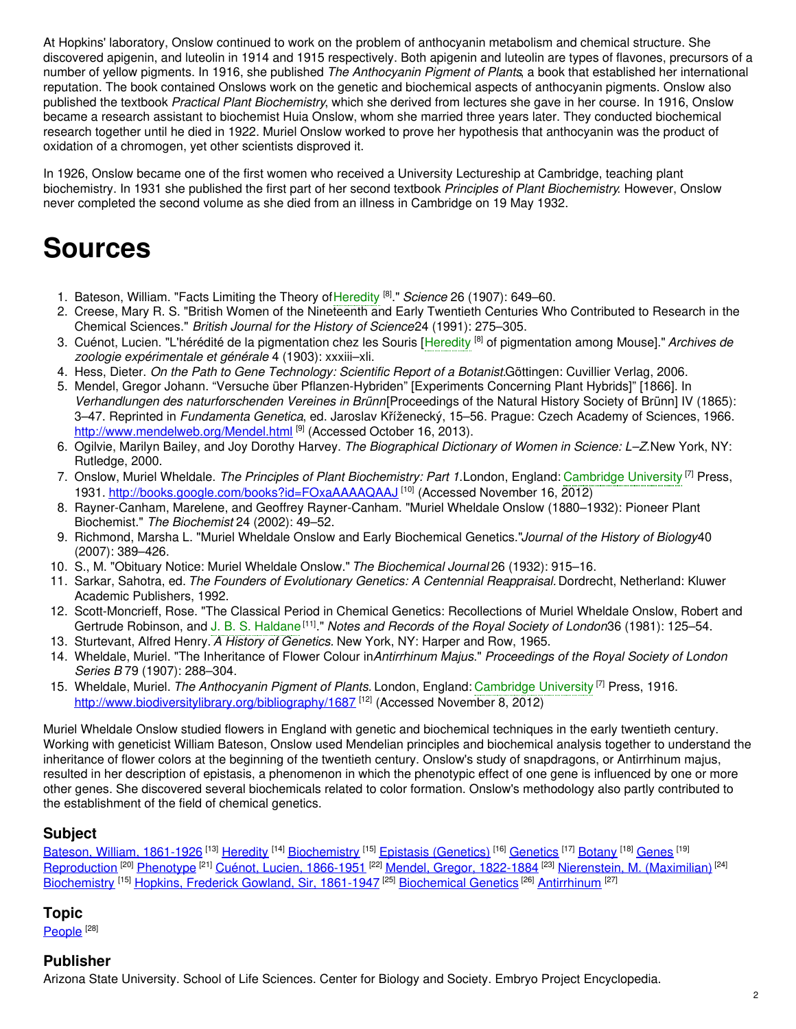At Hopkins' laboratory, Onslow continued to work on the problem of anthocyanin metabolism and chemical structure. She discovered apigenin, and luteolin in 1914 and 1915 respectively. Both apigenin and luteolin are types of flavones, precursors of a number of yellow pigments. In 1916, she published *The Anthocyanin Pigment of Plants*, a book that established her international reputation. The book contained Onslows work on the genetic and biochemical aspects of anthocyanin pigments. Onslow also published the textbook *Practical Plant Biochemistry*, which she derived from lectures she gave in her course. In 1916, Onslow became a research assistant to biochemist Huia Onslow, whom she married three years later. They conducted biochemical research together until he died in 1922. Muriel Onslow worked to prove her hypothesis that anthocyanin was the product of oxidation of a chromogen, yet other scientists disproved it.

In 1926, Onslow became one of the first women who received a University Lectureship at Cambridge, teaching plant biochemistry. In 1931 she published the first part of her second textbook *Principles of Plant Biochemistry*. However, Onslow never completed the second volume as she died from an illness in Cambridge on 19 May 1932.

# **Sources**

- 1. Bateson, William. "Facts Limiting the Theory of[Heredity](https://embryo.asu.edu/search?text=Heredity) [8] ." *Science* 26 (1907): 649–60.
- 2. Creese, Mary R. S. "British Women of the Nineteenth and Early Twentieth Centuries Who Contributed to Research in the Chemical Sciences." *British Journal for the History of Science*24 (1991): 275–305.
- 3. Cuénot, Lucien. "L'hérédité de la pigmentation chez les Souris [\[Heredity](https://embryo.asu.edu/search?text=Heredity) [8] of pigmentation among Mouse]." *Archives de zoologie expérimentale et générale* 4 (1903): xxxiii–xli.
- 4. Hess, Dieter. *On the Path to Gene Technology: Scientific Report of a Botanist.*Göttingen: Cuvillier Verlag, 2006.
- 5. Mendel, Gregor Johann. "Versuche über Pflanzen-Hybriden" [Experiments Concerning Plant Hybrids]" [1866]. In *Verhandlungen des naturforschenden Vereines in Brünn*[Proceedings of the Natural History Society of Brünn] IV (1865): 3–47. Reprinted in *Fundamenta Genetica*, ed. Jaroslav Kříženecký, 15–56. Prague: Czech Academy of Sciences, 1966. <http://www.mendelweb.org/Mendel.html> [9] (Accessed October 16, 2013).
- 6. Ogilvie, Marilyn Bailey, and Joy Dorothy Harvey. *The Biographical Dictionary of Women in Science: L–Z.*New York, NY: Rutledge, 2000.
- 7. Onslow, Muriel Wheldale. *The Principles of Plant Biochemistry: Part 1.*London, England: [Cambridge](https://embryo.asu.edu/search?text=Cambridge%20University) University [7] Press, 1931. <http://books.google.com/books?id=FOxaAAAAQAAJ> [10] (Accessed November 16, 2012)
- 8. Rayner-Canham, Marelene, and Geoffrey Rayner-Canham. "Muriel Wheldale Onslow (1880–1932): Pioneer Plant Biochemist." *The Biochemist* 24 (2002): 49–52.
- 9. Richmond, Marsha L. "Muriel Wheldale Onslow and Early Biochemical Genetics."*Journal of the History of Biology*40 (2007): 389–426.
- 10. S., M. "Obituary Notice: Muriel Wheldale Onslow." *The Biochemical Journal* 26 (1932): 915–16.
- 11. Sarkar, Sahotra, ed. *The Founders of Evolutionary Genetics: A Centennial Reappraisal.* Dordrecht, Netherland: Kluwer Academic Publishers, 1992.
- 12. Scott-Moncrieff, Rose. "The Classical Period in Chemical Genetics: Recollections of Muriel Wheldale Onslow, Robert and Gertrude Robinson, and J. B. S. [Haldane](https://embryo.asu.edu/search?text=J.%20B.%20S.%20Haldane) [11] ." *Notes and Records of the Royal Society of London*36 (1981): 125–54.
- 13. Sturtevant, Alfred Henry. *A History of Genetics.* New York, NY: Harper and Row, 1965.
- 14. Wheldale, Muriel. "The Inheritance of Flower Colour in*Antirrhinum Majus*." *Proceedings of the Royal Society of London Series B* 79 (1907): 288–304.
- 15. Wheldale, Muriel. *The Anthocyanin Pigment of Plants.* London, England: [Cambridge](https://embryo.asu.edu/search?text=Cambridge%20University) University [7] Press, 1916. <http://www.biodiversitylibrary.org/bibliography/1687> [12] (Accessed November 8, 2012)

Muriel Wheldale Onslow studied flowers in England with genetic and biochemical techniques in the early twentieth century. Working with geneticist William Bateson, Onslow used Mendelian principles and biochemical analysis together to understand the inheritance of flower colors at the beginning of the twentieth century. Onslow's study of snapdragons, or Antirrhinum majus, resulted in her description of epistasis, a phenomenon in which the phenotypic effect of one gene is influenced by one or more other genes. She discovered several biochemicals related to color formation. Onslow's methodology also partly contributed to the establishment of the field of chemical genetics.

#### **Subject**

Bateson, William, [1861-1926](https://embryo.asu.edu/library-congress-subject-headings/bateson-william-1861-1926) <sup>[13]</sup> [Heredity](https://embryo.asu.edu/library-congress-subject-headings/heredity) <sup>[14]</sup> [Biochemistry](https://embryo.asu.edu/library-congress-subject-headings/biochemistry) <sup>[15]</sup> Epistasis [\(Genetics\)](https://embryo.asu.edu/library-congress-subject-headings/epistasis-genetics) <sup>[16]</sup> [Genetics](https://embryo.asu.edu/library-congress-subject-headings/genetics) <sup>[17]</sup> [Botany](https://embryo.asu.edu/library-congress-subject-headings/botany) <sup>[18]</sup> [Genes](https://embryo.asu.edu/library-congress-subject-headings/genes) <sup>[19]</sup> [Reproduction](https://embryo.asu.edu/library-congress-subject-headings/reproduction) <sup>[20]</sup> [Phenotype](https://embryo.asu.edu/library-congress-subject-headings/phenotype) <sup>[21]</sup> Cuénot, Lucien, [1866-1951](https://embryo.asu.edu/library-congress-subject-headings/cuenot-lucien-1866-1951) <sup>[22]</sup> Mendel, Gregor, [1822-1884](https://embryo.asu.edu/library-congress-subject-headings/mendel-gregor-1822-1884) <sup>[23]</sup> [Nierenstein,](https://embryo.asu.edu/library-congress-subject-headings/nierenstein-m-maximilian) M. (Maximilian) <sup>[24]</sup> [Biochemistry](https://embryo.asu.edu/library-congress-subject-headings/biochemistry) <sup>[15]</sup> Hopkins, Frederick Gowland, Sir, [1861-1947](https://embryo.asu.edu/library-congress-subject-headings/hopkins-frederick-gowland-sir-1861-1947) <sup>[25]</sup> [Biochemical](https://embryo.asu.edu/medical-subject-headings/biochemical-genetics) Genetics <sup>[26]</sup> [Antirrhinum](https://embryo.asu.edu/medical-subject-headings/antirrhinum) <sup>[27]</sup>

#### **Topic**

<u>[People](https://embryo.asu.edu/topics/people)  $^{[28]}$ </u>

#### **Publisher**

Arizona State University. School of Life Sciences. Center for Biology and Society. Embryo Project Encyclopedia.